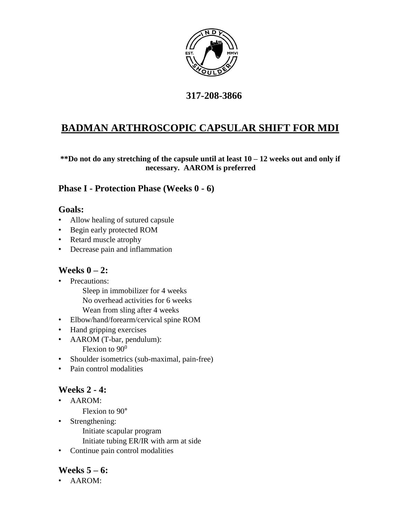

## **317-208-3866**

## **BADMAN ARTHROSCOPIC CAPSULAR SHIFT FOR MDI**

**\*\*Do not do any stretching of the capsule until at least 10 – 12 weeks out and only if necessary. AAROM is preferred** 

#### **Phase I - Protection Phase (Weeks 0 - 6)**

#### **Goals:**

- Allow healing of sutured capsule
- Begin early protected ROM
- Retard muscle atrophy
- Decrease pain and inflammation

#### **Weeks 0 – 2:**

- Precautions:
	- Sleep in immobilizer for 4 weeks No overhead activities for 6 weeks Wean from sling after 4 weeks
- Elbow/hand/forearm/cervical spine ROM
- Hand gripping exercises
- AAROM (T-bar, pendulum): Flexion to  $90^0$
- Shoulder isometrics (sub-maximal, pain-free)
- Pain control modalities

## **Weeks 2 - 4:**

- AAROM:
	- Flexion to 90°
- Strengthening:
	- Initiate scapular program
	- Initiate tubing ER/IR with arm at side
- Continue pain control modalities

## **Weeks 5 – 6:**

• AAROM: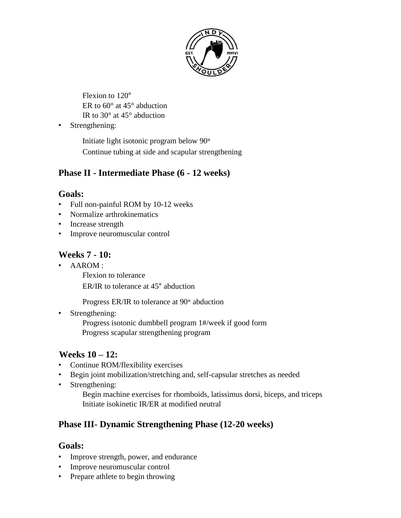

Flexion to 120° ER to 60° at 45° abduction IR to 30° at 45° abduction

• Strengthening:

Initiate light isotonic program below 90° Continue tubing at side and scapular strengthening

## **Phase II - Intermediate Phase (6 - 12 weeks)**

#### **Goals:**

- Full non-painful ROM by 10-12 weeks
- Normalize arthrokinematics
- Increase strength
- Improve neuromuscular control

## **Weeks 7 - 10:**

• AAROM :

Flexion to tolerance

ER/IR to tolerance at 45° abduction

Progress ER/IR to tolerance at 90° abduction

• Strengthening:

Progress isotonic dumbbell program 1#/week if good form Progress scapular strengthening program

## **Weeks 10 – 12:**

- Continue ROM/flexibility exercises
- Begin joint mobilization/stretching and, self-capsular stretches as needed
- Strengthening:

Begin machine exercises for rhomboids, latissimus dorsi, biceps, and triceps Initiate isokinetic IR/ER at modified neutral

## **Phase III- Dynamic Strengthening Phase (12-20 weeks)**

#### **Goals:**

- Improve strength, power, and endurance
- Improve neuromuscular control
- Prepare athlete to begin throwing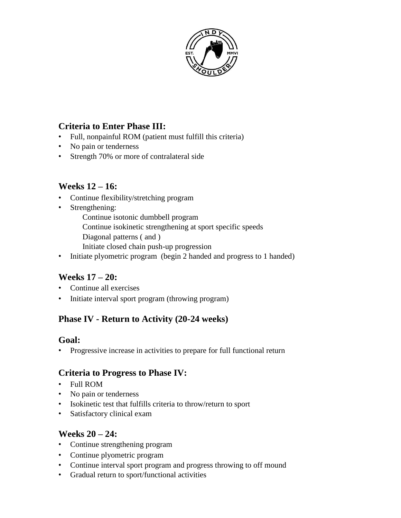

### **Criteria to Enter Phase III:**

- Full, nonpainful ROM (patient must fulfill this criteria)
- No pain or tenderness
- Strength 70% or more of contralateral side

#### **Weeks 12 – 16:**

- Continue flexibility/stretching program
- Strengthening:
	- Continue isotonic dumbbell program
	- Continue isokinetic strengthening at sport specific speeds
	- Diagonal patterns ( and )
	- Initiate closed chain push-up progression
- Initiate plyometric program (begin 2 handed and progress to 1 handed)

## **Weeks 17 – 20:**

- Continue all exercises
- Initiate interval sport program (throwing program)

## **Phase IV - Return to Activity (20-24 weeks)**

#### **Goal:**

• Progressive increase in activities to prepare for full functional return

#### **Criteria to Progress to Phase IV:**

- Full ROM
- No pain or tenderness
- Isokinetic test that fulfills criteria to throw/return to sport
- Satisfactory clinical exam

#### **Weeks 20 – 24:**

- Continue strengthening program
- Continue plyometric program
- Continue interval sport program and progress throwing to off mound
- Gradual return to sport/functional activities